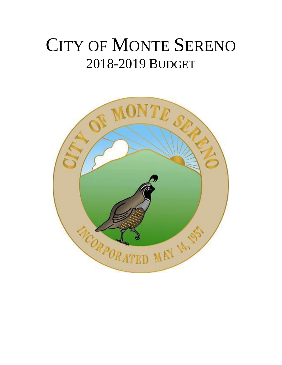# CITY OF MONTE SERENO 2018-2019 BUDGET

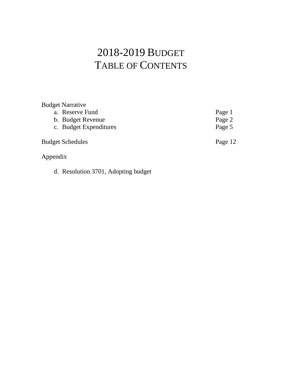# 2018-2019 BUDGET TABLE OF CONTENTS

| <b>Budget Narrative</b> |         |
|-------------------------|---------|
| a. Reserve Fund         | Page 1  |
| b. Budget Revenue       | Page 2  |
| c. Budget Expenditures  | Page 5  |
| <b>Budget Schedules</b> | Page 12 |
| Appendix                |         |

d. Resolution 3701, Adopting budget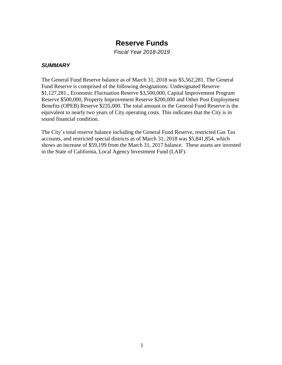# **Reserve Funds**

*Fiscal Year 2018-2019*

#### *SUMMARY*

The General Fund Reserve balance as of March 31, 2018 was \$5,562,281. The General Fund Reserve is comprised of the following designations: Undesignated Reserve \$1,127,281., Economic Fluctuation Reserve \$3,500,000, Capital Improvement Program Reserve \$500,000, Property Improvement Reserve \$200,000 and Other Post Employment Benefits (OPEB) Reserve \$235,000. The total amount in the General Fund Reserve is the equivalent to nearly two years of City operating costs. This indicates that the City is in sound financial condition.

The City's total reserve balance including the General Fund Reserve, restricted Gas Tax accounts, and restricted special districts as of March 31, 2018 was \$5,841,854, which shows an increase of \$59,199 from the March 31, 2017 balance. These assets are invested in the State of California, Local Agency Investment Fund (LAIF).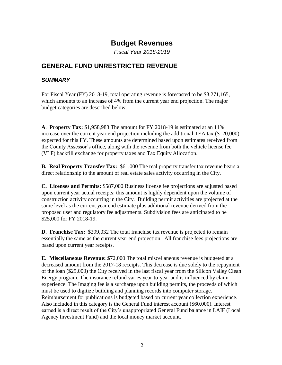# **Budget Revenues**

*Fiscal Year 2018-2019*

# **GENERAL FUND UNRESTRICTED REVENUE**

#### *SUMMARY*

For Fiscal Year (FY) 2018-19, total operating revenue is forecasted to be \$3,271,165, which amounts to an increase of 4% from the current year end projection. The major budget categories are described below.

**A**. **Property Tax:** \$1,958,983 The amount for FY 2018-19 is estimated at an 11% increase over the current year end projection including the additional TEA tax (\$120,000) expected for this FY. These amounts are determined based upon estimates received from the County Assessor's office, along with the revenue from both the vehicle license fee (VLF) backfill exchange for property taxes and Tax Equity Allocation.

**B. Real Property Transfer Tax:** \$61,000 The real property transfer tax revenue bears a direct relationship to the amount of real estate sales activity occurring in the City.

**C. Licenses and Permits:** \$587,000 Business license fee projections are adjusted based upon current year actual receipts; this amount is highly dependent upon the volume of construction activity occurring in the City. Building permit activities are projected at the same level as the current year end estimate plus additional revenue derived from the proposed user and regulatory fee adjustments. Subdivision fees are anticipated to be \$25,000 for FY 2018-19.

**D. Franchise Tax:** \$299,032 The total franchise tax revenue is projected to remain essentially the same as the current year end projection. All franchise fees projections are based upon current year receipts.

**E. Miscellaneous Revenue:** \$72,000 The total miscellaneous revenue is budgeted at a decreased amount from the 2017-18 receipts. This decrease is due solely to the repayment of the loan (\$25,000) the City received in the last fiscal year from the Silicon Valley Clean Energy program. The insurance refund varies year-to-year and is influenced by claim experience. The Imaging fee is a surcharge upon building permits, the proceeds of which must be used to digitize building and planning records into computer storage. Reimbursement for publications is budgeted based on current year collection experience. Also included in this category is the General Fund interest account (\$60,000). Interest earned is a direct result of the City's unappropriated General Fund balance in LAIF (Local Agency Investment Fund) and the local money market account.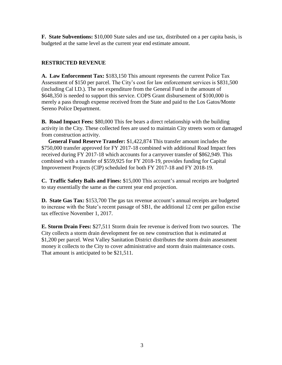**F. State Subventions:** \$10,000 State sales and use tax, distributed on a per capita basis, is budgeted at the same level as the current year end estimate amount.

#### **RESTRICTED REVENUE**

**A. Law Enforcement Tax:** \$183,150 This amount represents the current Police Tax Assessment of \$150 per parcel. The City's cost for law enforcement services is \$831,500 (including Cal I.D.). The net expenditure from the General Fund in the amount of \$648,350 is needed to support this service. COPS Grant disbursement of \$100,000 is merely a pass through expense received from the State and paid to the Los Gatos/Monte Sereno Police Department.

**B. Road Impact Fees:** \$80,000 This fee bears a direct relationship with the building activity in the City. These collected fees are used to maintain City streets worn or damaged from construction activity.

 **General Fund Reserve Transfer:** \$1,422,874 This transfer amount includes the \$750,000 transfer approved for FY 2017-18 combined with additional Road Impact fees received during FY 2017-18 which accounts for a carryover transfer of \$862,949. This combined with a transfer of \$559,925 for FY 2018-19, provides funding for Capital Improvement Projects (CIP) scheduled for both FY 2017-18 and FY 2018-19.

**C. Traffic Safety Bails and Fines:** \$15,000 This account's annual receipts are budgeted to stay essentially the same as the current year end projection.

**D. State Gas Tax:** \$153,700 The gas tax revenue account's annual receipts are budgeted to increase with the State's recent passage of SB1, the additional 12 cent per gallon excise tax effective November 1, 2017.

**E. Storm Drain Fees:** \$27,511 Storm drain fee revenue is derived from two sources. The City collects a storm drain development fee on new construction that is estimated at \$1,200 per parcel. West Valley Sanitation District distributes the storm drain assessment money it collects to the City to cover administrative and storm drain maintenance costs. That amount is anticipated to be \$21,511.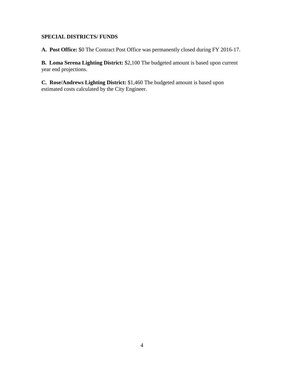#### **SPECIAL DISTRICTS/ FUNDS**

**A. Post Office:** \$0 The Contract Post Office was permanently closed during FY 2016-17.

**B. Loma Serena Lighting District:** \$2,100 The budgeted amount is based upon current year end projections.

**C. Rose/Andrews Lighting District:** \$1,460 The budgeted amount is based upon estimated costs calculated by the City Engineer.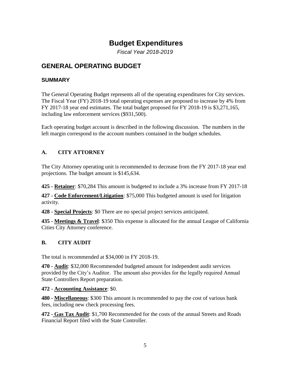# **Budget Expenditures**

*Fiscal Year 2018-2019*

# **GENERAL OPERATING BUDGET**

#### **SUMMARY**

The General Operating Budget represents all of the operating expenditures for City services. The Fiscal Year (FY) 2018-19 total operating expenses are proposed to increase by 4% from FY 2017-18 year end estimates. The total budget proposed for FY 2018-19 is \$3,271,165, including law enforcement services (\$931,500).

Each operating budget account is described in the following discussion. The numbers in the left margin correspond to the account numbers contained in the budget schedules.

#### **A. CITY ATTORNEY**

The City Attorney operating unit is recommended to decrease from the FY 2017-18 year end projections. The budget amount is \$145,634.

**425 - Retainer**: \$70,284 This amount is budgeted to include a 3% increase from FY 2017-18

**427 - Code Enforcement/Litigation**: \$75,000 This budgeted amount is used for litigation activity.

**428 - Special Projects**: \$0 There are no special project services anticipated.

**435 - Meetings & Travel**: \$350 This expense is allocated for the annual League of California Cities City Attorney conference.

#### **B. CITY AUDIT**

The total is recommended at \$34,000 in FY 2018-19.

**470 - Audit**: \$32,000 Recommended budgeted amount for independent audit services provided by the City's Auditor. The amount also provides for the legally required Annual State Controllers Report preparation.

**472 - Accounting Assistance**: \$0.

**480 - Miscellaneous**: \$300 This amount is recommended to pay the cost of various bank fees, including new check processing fees.

**472 - Gas Tax Audit**: \$1,700 Recommended for the costs of the annual Streets and Roads Financial Report filed with the State Controller.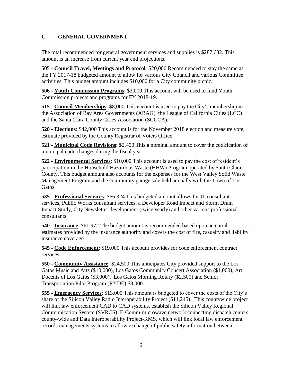#### **C. GENERAL GOVERNMENT**

The total recommended for general government services and supplies is \$287,632. This amount is an increase from current year end projections.

**505 - Council Travel, Meetings and Protocol**: \$20,000 Recommended to stay the same as the FY 2017-18 budgeted amount to allow for various City Council and various Committee activities. This budget amount includes \$10,000 for a City community picnic.

**506 - Youth Commission Programs**: \$3,000 This account will be used to fund Youth Commission projects and programs for FY 2018-19.

**515 - Council Memberships**: \$8,000 This account is used to pay the City's membership in the Association of Bay Area Governments (ABAG), the League of California Cities (LCC) and the Santa Clara County Cities Association (SCCCA).

**520 - Elections**: \$42,000 This account is for the November 2018 election and measure vote, estimate provided by the County Registrar of Voters Office.

**521 - Municipal Code Revisions**: \$2,400 This a nominal amount to cover the codification of municipal code changes during the fiscal year.

**522 - Environmental Services**: \$10,000 This account is used to pay the cost of resident's participation in the Household Hazardous Waste (HHW) Program operated by Santa Clara County. This budget amount also accounts for the expenses for the West Valley Solid Waste Management Program and the community garage sale held annually with the Town of Los Gatos.

**535 - Professional Services**: \$66,324 This budgeted amount allows for IT consultant services, Public Works consultant services, a Developer Road Impact and Storm Drain Impact Study, City Newsletter development (twice yearly) and other various professional consultants.

**540 - Insurance**: \$61,972 The budget amount is recommended based upon actuarial estimates provided by the insurance authority and covers the cost of fire, casualty and liability insurance coverage.

**545 - Code Enforcement**: \$19,000 This account provides for code enforcement contract services.

**550 - Community Assistance**: \$24,500 This anticipates City provided support to the Los Gatos Music and Arts (\$10,000), Los Gatos Community Concert Association (\$1,000), Art Docents of Los Gatos (\$3,000), Los Gatos Morning Rotary (\$2,500) and Senior Transportation Pilot Program (RYDE) \$8,000.

**555 - Emergency Services**: \$13,000 This amount is budgeted to cover the costs of the City's share of the Silicon Valley Radio Interoperability Project (\$11,245). This countywide project will link law enforcement CAD to CAD systems, establish the Silicon Valley Regional Communication System (SVRCS), E-Comm-microwave network connecting dispatch centers county-wide and Data Interoperability Project-RMS, which will link local law enforcement records managements systems to allow exchange of public safety information between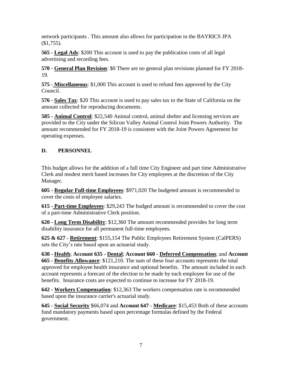network participants . This amount also allows for participation in the BAYRICS JPA  $($ \$1,755).

**565 - Legal Ads**: \$200 This account is used to pay the publication costs of all legal advertising and recording fees.

**570 - General Plan Revision**: \$0 There are no general plan revisions planned for FY 2018- 19.

**575 - Miscellaneous**: \$1,000 This account is used to refund fees approved by the City Council.

**576 - Sales Tax**: \$20 This account is used to pay sales tax to the State of California on the amount collected for reproducing documents.

**585 - Animal Control**: \$22,540 Animal control, animal shelter and licensing services are provided to the City under the Silicon Valley Animal Control Joint Powers Authority. The amount recommended for FY 2018-19 is consistent with the Joint Powers Agreement for operating expenses.

#### **D. PERSONNEL**

This budget allows for the addition of a full time City Engineer and part time Administrative Clerk and modest merit based increases for City employees at the discretion of the City Manager.

**605 - Regular Full-time Employees**: \$971,020 The budgeted amount is recommended to cover the costs of employee salaries.

**615 - Part-time Employees**: \$29,243 The budged amount is recommended to cover the cost of a part-time Administrative Clerk position.

**620 - Long Term Disability**: \$12,360 The amount recommended provides for long term disability insurance for all permanent full-time employees.

**625 & 627 - Retirement**: \$155,154 The Public Employees Retirement System (CalPERS) sets the City's rate based upon an actuarial study.

**630 - Health**; **Account 635 - Dental**; **Account 660 - Deferred Compensation**; and **Account 665 - Benefits Allowance**: \$121,210. The sum of these four accounts represents the total approved for employee health insurance and optional benefits. The amount included in each account represents a forecast of the election to be made by each employee for use of the benefits. Insurance costs are expected to continue to increase for FY 2018-19.

**642 - Workers Compensation**: \$12,363 The workers compensation rate is recommended based upon the insurance carrier's actuarial study.

**645 - Social Security** \$66,074 and **Account 647 - Medicare**: \$15,453 Both of these accounts fund mandatory payments based upon percentage formulas defined by the Federal government.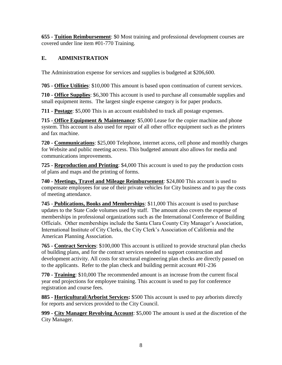**655 - Tuition Reimbursement**: \$0 Most training and professional development courses are covered under line item #01-770 Training.

### **E. ADMINISTRATION**

The Administration expense for services and supplies is budgeted at \$206,600.

**705 - Office Utilities**: \$10,000 This amount is based upon continuation of current services.

**710 - Office Supplies**: \$6,300 This account is used to purchase all consumable supplies and small equipment items. The largest single expense category is for paper products.

**711 - Postage**: \$5,000 This is an account established to track all postage expenses.

**715 - Office Equipment & Maintenance**: \$5,000 Lease for the copier machine and phone system. This account is also used for repair of all other office equipment such as the printers and fax machine.

**720 - Communications**: \$25,000 Telephone, internet access, cell phone and monthly charges for Website and public meeting access. This budgeted amount also allows for media and communications improvements.

**725 - Reproduction and Printing**: \$4,000 This account is used to pay the production costs of plans and maps and the printing of forms.

**740 - Meetings, Travel and Mileage Reimbursement**: \$24,800 This account is used to compensate employees for use of their private vehicles for City business and to pay the costs of meeting attendance.

**745** - **Publications, Books and Memberships**: \$11,000 This account is used to purchase updates to the State Code volumes used by staff. The amount also covers the expense of memberships in professional organizations such as the International Conference of Building Officials. Other memberships include the Santa Clara County City Manager's Association, International Institute of City Clerks, the City Clerk's Association of California and the American Planning Association.

**765 - Contract Services**: \$100,000 This account is utilized to provide structural plan checks of building plans, and for the contract services needed to support construction and development activity. All costs for structural engineering plan checks are directly passed on to the applicants. Refer to the plan check and building permit account #01-236

**770 - Training**: \$10,000 The recommended amount is an increase from the current fiscal year end projections for employee training. This account is used to pay for conference registration and course fees.

**885 - Horticultural/Arborist Services:** \$500 This account is used to pay arborists directly for reports and services provided to the City Council.

**999 - City Manager Revolving Account**: \$5,000 The amount is used at the discretion of the City Manager.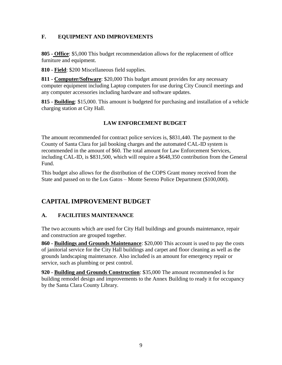#### **F. EQUIPMENT AND IMPROVEMENTS**

**805 - Office**: \$5,000 This budget recommendation allows for the replacement of office furniture and equipment.

**810 - Field**: \$200 Miscellaneous field supplies.

**811 - Computer/Software**: \$20,000 This budget amount provides for any necessary computer equipment including Laptop computers for use during City Council meetings and any computer accessories including hardware and software updates.

**815 - Building**: \$15,000. This amount is budgeted for purchasing and installation of a vehicle charging station at City Hall.

#### **LAW ENFORCEMENT BUDGET**

The amount recommended for contract police services is, \$831,440. The payment to the County of Santa Clara for jail booking charges and the automated CAL-ID system is recommended in the amount of \$60. The total amount for Law Enforcement Services, including CAL-ID, is \$831,500, which will require a \$648,350 contribution from the General Fund.

This budget also allows for the distribution of the COPS Grant money received from the State and passed on to the Los Gatos – Monte Sereno Police Department (\$100,000).

#### **CAPITAL IMPROVEMENT BUDGET**

#### **A. FACILITIES MAINTENANCE**

The two accounts which are used for City Hall buildings and grounds maintenance, repair and construction are grouped together.

**860 - Buildings and Grounds Maintenance**: \$20,000 This account is used to pay the costs of janitorial service for the City Hall buildings and carpet and floor cleaning as well as the grounds landscaping maintenance. Also included is an amount for emergency repair or service, such as plumbing or pest control.

**920 - Building and Grounds Construction**: \$35,000 The amount recommended is for building remodel design and improvements to the Annex Building to ready it for occupancy by the Santa Clara County Library.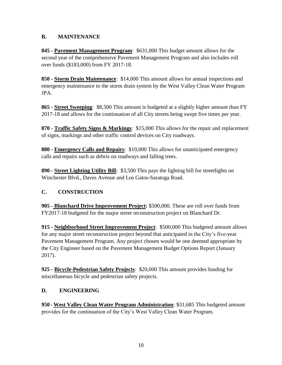#### **B. MAINTENANCE**

**845 - Pavement Management Program**: \$631,000 This budget amount allows for the second year of the comprehensive Pavement Management Program and also includes roll over funds (\$183,000) from FY 2017-18.

**850 - Storm Drain Maintenance**: \$14,000 This amount allows for annual inspections and emergency maintenance to the storm drain system by the West Valley Clean Water Program JPA.

**865 - Street Sweeping**: \$8,500 This amount is budgeted at a slightly higher amount than FY 2017-18 and allows for the continuation of all City streets being swept five times per year.

**870 - Traffic Safety Signs & Markings**: \$15,000 This allows for the repair and replacement of signs, markings and other traffic control devices on City roadways.

**880 - Emergency Calls and Repairs**: \$10,000 This allows for unanticipated emergency calls and repairs such as debris on roadways and falling trees.

**890 - Street Lighting Utility Bill**: \$3,500 This pays the lighting bill for streetlights on Winchester Blvd., Daves Avenue and Los Gatos-Saratoga Road.

#### **C. CONSTRUCTION**

**905 - Blanchard Drive Improvement Project:** \$500,000. These are roll over funds from FY2017-18 budgeted for the major street reconstruction project on Blanchard Dr.

**915 - Neighborhood Street Improvement Project**: \$500,000 This budgeted amount allows for any major street reconstruction project beyond that anticipated in the City's five-year Pavement Management Program. Any project chosen would be one deemed appropriate by the City Engineer based on the Pavement Management Budget Options Report (January 2017).

**925 - Bicycle-Pedestrian Safety Projects**: \$20,000 This amount provides funding for miscellaneous bicycle and pedestrian safety projects.

#### **D. ENGINEERING**

**950 - West Valley Clean Water Program Administration**: \$31,685 This budgeted amount provides for the continuation of the City's West Valley Clean Water Program.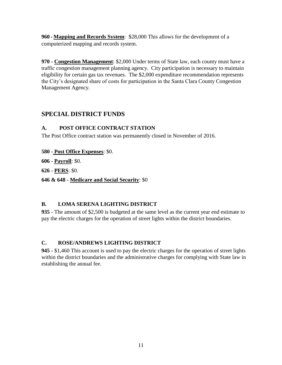**960 - Mapping and Records System**: \$28,000 This allows for the development of a computerized mapping and records system.

**970 - Congestion Management**: \$2,000 Under terms of State law, each county must have a traffic congestion management planning agency. City participation is necessary to maintain eligibility for certain gas tax revenues. The \$2,000 expenditure recommendation represents the City's designated share of costs for participation in the Santa Clara County Congestion Management Agency.

### **SPECIAL DISTRICT FUNDS**

#### **A. POST OFFICE CONTRACT STATION**

The Post Office contract station was permanently closed in November of 2016.

**580 - Post Office Expenses**: \$0.

**606 - Payroll**: \$0.

**626 - PERS**: \$0.

**646 & 648 - Medicare and Social Security**: \$0

#### **B. LOMA SERENA LIGHTING DISTRICT**

**935 -** The amount of \$2,500 is budgeted at the same level as the current year end estimate to pay the electric charges for the operation of street lights within the district boundaries.

#### **C. ROSE/ANDREWS LIGHTING DISTRICT**

**945 -** \$1,460 This account is used to pay the electric charges for the operation of street lights within the district boundaries and the administrative charges for complying with State law in establishing the annual fee.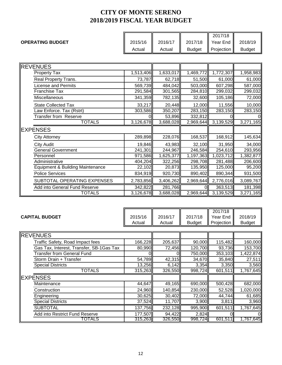|                         |         |                         |               | 2017/18                          |               |
|-------------------------|---------|-------------------------|---------------|----------------------------------|---------------|
| <b>OPERATING BUDGET</b> | 2015/16 | 2016/17<br>$\mathbf{I}$ | 2017/18       | $\parallel$ Year End $\parallel$ | 2018/19       |
|                         | Actual  | Actual                  | <b>Budget</b> | <b>Projection</b>                | <b>Budget</b> |

| <b>IREVENUES</b>                            |           |           |           |           |           |
|---------------------------------------------|-----------|-----------|-----------|-----------|-----------|
| <b>Property Tax</b>                         | 1,513,406 | 1,633,017 | 1,469,772 | 1,772,307 | 1,958,983 |
| Real Property Trans.                        | 73,787    | 62,718    | 51,500    | 61,000    | 61,000    |
| <b>License and Permits</b>                  | 569,739   | 484,042   | 503,000   | 607,298   | 587,000   |
| Franchise Tax                               | 291,584   | 301,565   | 284,810   | 299,032   | 299,032   |
| Miscellaneous                               | 341,359   | 782,135   | 32,600    | 105,186   | 72,000    |
| <b>State Collected Tax</b>                  | 33,217    | 20,448    | 12,000    | 11,556    | 10,000    |
| Law Enforce. Tax (Rstrt)                    | 303,586   | 350,207   | 283,150   | 283,150   | 283,150   |
| Transfer from Reserve                       |           | 53,896    | 332,812   |           |           |
| <b>TOTALS</b>                               | 3,126,678 | 3,688,028 | 2,969,644 | 3,139,529 | 3,271,165 |
| <b>EXPENSES</b>                             |           |           |           |           |           |
| <b>City Attorney</b>                        | 289,898   | 228,076   | 168,537   | 168,912   | 145,634   |
| <b>City Audit</b>                           | 19,846    | 43,983    | 32,100    | 31,950    | 34,000    |
| <b>General Government</b>                   | 241,301   | 244,967   | 246,584   | 254,610   | 293,956   |
| Personnel                                   | 971,586   | 1,625,377 | 1,197,363 | 1,023,712 | 1,382,877 |
| Administrative                              | 404,204   | 322,256   | 298,708   | 281,488   | 206,600   |
| <b>Equipment &amp; Building Maintenance</b> | 22,102    | 20,873    | 135,950   | 125,000   | 95,200    |
| <b>Police Services</b>                      | 834,919   | 920,730   | 890,402   | 890,344   | 931,500   |
| SUBTOTAL OPERATING EXPENSES                 | 2,783,856 | 3,406,262 | 2,969,644 | 2,776,016 | 3,089,767 |
| Add into General Fund Reserve               | 342,822   | 281,766   | U         | 363,513   | 181,398   |
| TOTALS                                      | 3,126,678 | 3,688,028 | 2,969,644 | 3,139,529 | 3,271,165 |

| <b>CAPITAL BUDGET</b> |                                          | 2015/16<br>Actual | 2016/17<br>Actual | 2017/18<br><b>Budget</b> | 2017/18<br>Year End<br>Projection | 2018/19<br><b>Budget</b> |
|-----------------------|------------------------------------------|-------------------|-------------------|--------------------------|-----------------------------------|--------------------------|
| <b>REVENUES</b>       |                                          |                   |                   |                          |                                   |                          |
|                       | Traffic Safety, Road Impact fees         | 166,228           | 205,637           | 90,000                   | 115,482                           | 160,000                  |
|                       | Gas Tax, Interest, Transfer, SB-1Gas Tax | 80,990            | 72,456            | 120,700                  | 93,736                            | 153,700                  |
|                       | <b>Transfer from General Fund</b>        |                   |                   | 750,000                  | 353,103                           | 1,422,874                |
|                       | Storm Drain + Transfer                   | 54,789            | 42,315            | 34,670                   | 35,840                            | 27,511                   |
|                       | <b>Special Districts</b>                 | 13,256            | 6,142             | 3,354                    | 3,350                             | 3,560                    |
|                       | <b>TOTALS</b>                            | 315,263           | 326,550           | 998,724                  | 601,511                           | 1,767,645                |
| <b>IEXPENSES</b>      |                                          |                   |                   |                          |                                   |                          |
| Maintenance           |                                          | 44,647            | 49,165            | 690,000                  | 500,428                           | 682,000                  |
| Construction          |                                          | 24,960            | 140,854           | 230,000                  | 52,528                            | 1,020,000                |
| Engineering           |                                          | 30,625            | 30,402            | 72,000                   | 44,744                            | 61,685                   |
|                       | <b>Special Districts</b>                 | 37,524            | 11,707            | 3,900                    | 3,811                             | 3,960                    |
| <b>SUBTOTAL</b>       |                                          | 137,756           | 232,128           | 995,900                  | 601,511                           | 1,767,645                |
|                       | Add into Restrict Fund Reserve           | 177,507           | 94,422            | 2,824                    |                                   |                          |
|                       | TOTALS                                   | 315,263 <b>1</b>  | 326,550           | 998,724                  | 601,511                           | 1,767,645                |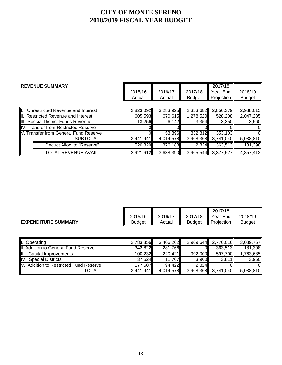| <b>REVENUE SUMMARY</b>                |           |           |               | 2017/18    |               |
|---------------------------------------|-----------|-----------|---------------|------------|---------------|
|                                       | 2015/16   | 2016/17   | 2017/18       | Year End   | 2018/19       |
|                                       | Actual    | Actual    | <b>Budget</b> | Projection | <b>Budget</b> |
|                                       |           |           |               |            |               |
| Unrestricted Revenue and Interest     | 2,823,092 | 3,283,925 | 2,353,682     | 2,856,379  | 2,988,015     |
| II. Restricted Revenue and Interest   | 605,593   | 670,615   | 1,278,520     | 528,208    | 2,047,235     |
| III. Special District Funds Revenue   | 13,256    | 6,142     | 3,354         | 3,350      | 3,560         |
| IV. Transfer from Restricted Reserve  |           |           |               |            |               |
| V. Transfer from General Fund Reserve |           | 53,896    | 332,812       | 353,103    |               |
| <b>SUBTOTAL</b>                       | 3,441,941 | 4,014,578 | 3,968,368     | 3,741,040  | 5,038,810     |
| Deduct Alloc. to "Reserve"            | 520,329   | 376,188   | 2,824         | 363,513    | 181,398       |
| TOTAL REVENUE AVAIL.                  | 2,921,612 | 3,638,390 | 3,965,544     | 3,377,527  | 4,857,412     |

|                            |         |         |               | 2017/18                  |               |
|----------------------------|---------|---------|---------------|--------------------------|---------------|
|                            | 2015/16 | 2016/17 | 2017/18       | Year End<br>$\mathbf{I}$ | 2018/19       |
| <b>EXPENDITURE SUMMARY</b> | Budget  | Actual  | <b>Budget</b> | Projection               | <b>Budget</b> |

| ₩.<br>Operating                                   | 2,783,856 | 3,406,262 | 2,969,644 | 2,776,016           | 3,089,767 |
|---------------------------------------------------|-----------|-----------|-----------|---------------------|-----------|
| II. Addition to General Fund Reserve              | 342,822   | 281,766   | ОII       | 363.513             | 181,398   |
| III. Capital Improvements                         | 100,232   | 220,421   | 992,000   | 597,700             | 1,763,685 |
| IV. Special Districts                             | 37,524    | 11.707    | 3,900     | 3,811               | 3,960     |
| IV.<br><b>Addition to Restricted Fund Reserve</b> | 177,507   | 94,422    | 2,824     |                     | Οl        |
| TOTAL                                             | 3,441,941 | 4,014,578 |           | 3,968,368 3,741,040 | 5,038,810 |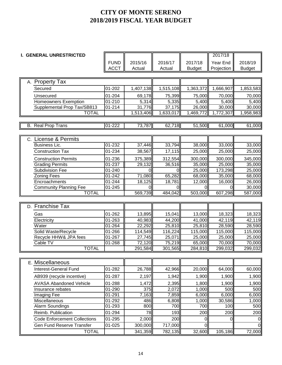| <b>I. GENERAL UNRESTRICTED</b>      |             |                |           |                | 2017/18    |                     |
|-------------------------------------|-------------|----------------|-----------|----------------|------------|---------------------|
|                                     | <b>FUND</b> | 2015/16        | 2016/17   | 2017/18        | Year End   | 2018/19             |
|                                     | <b>ACCT</b> | Actual         | Actual    | <b>Budget</b>  | Projection | <b>Budget</b>       |
|                                     |             |                |           |                |            |                     |
| A. Property Tax                     |             |                |           |                |            |                     |
| Secured                             | 01-202      | 1,407,138      | 1,515,108 | 1,363,372      | 1,666,907  | 1,853,583           |
| Unsecured                           | 01-204      | 69,178         | 75,399    | 75,000         | 70,000     | 70,000              |
| <b>Homeowners Exemption</b>         | $01 - 210$  | 5,314          | 5,335     | 5,400          | 5,400      | 5,400               |
| Supplemental Prop Tax/SB813         | 01-214      | 31,776         | 37,175    | 26,000         | 30,000     | $\overline{30,000}$ |
| <b>TOTAL</b>                        |             | 1,513,406      | 1,633,017 | 1,469,772      | 1,772,307  | 1,958,983           |
|                                     |             |                |           |                |            |                     |
| <b>B.</b> Real Prop Trans           | $01 - 222$  | 73,787         | 62,718    | 51,500         | 61,000     | 61,000              |
|                                     |             |                |           |                |            |                     |
| C. License & Permits                |             |                |           |                |            |                     |
| <b>Business Lic.</b>                | $01 - 232$  | 37,446         | 33,794    | 38,000         | 33,000     | 33,000              |
| <b>Construction Tax</b>             | 01-234      | 38,567         | 17,115    | 25,000         | 25,000     | 25,000              |
| <b>Construction Permits</b>         | 01-236      | 375,389        | 312,554   | 300,000        | 300,000    | 345,000             |
| <b>Grading Permits</b>              | $01 - 237$  | 29,132         | 36,516    | 35,000         | 25,000     | 35,000              |
| <b>Subdivision Fee</b>              | $01 - 240$  | $\Omega$       |           | 25,000         | 173,298    | 25,000              |
| Zoning Fees                         | $01 - 242$  | 71,080         | 65,282    | 68,000         | 35,000     | 68,000              |
| Encroachments                       | $01 - 244$  | 18,125         | 18,781    | 12,000         | 16,000     | 26,000              |
| <b>Community Planning Fee</b>       | 01-245      | $\overline{0}$ |           | Οl             |            | 30,000              |
| <b>TOTAL</b>                        |             | 569,739        | 484,042   | 503,000        | 607,298    | 587,000             |
|                                     |             |                |           |                |            |                     |
| D. Franchise Tax                    |             |                |           |                |            |                     |
| Gas                                 | 01-262      | 13,895         | 15,041    | 13,000         | 18,323     | 18,323              |
| Electricity                         | $01 - 263$  | 40,983         | 44,200    | 41,000         | 42,119     | 42,119              |
| Water                               | 01-264      | 22,292         | 25,810    | 25,810         | 28,590     | 28,590              |
| Solid Waste/Recycle                 | 01-266      | 114,549        | 116,224   | 115,000        | 115,000    | 115,000             |
| Recycle HHW& JPA fees               | 01-267      | 27,745         | 25,071    | 25,000         | 25,000     | 25,000              |
| Cable TV                            | $01 - 268$  | 72,120         | 75,219    | 65,000         | 70,000     | 70,000              |
| <b>TOTAL</b>                        |             | 291,584        | 301,565   | 284,810        | 299,032    | 299,032             |
|                                     |             |                |           |                |            |                     |
| E. Miscellaneous                    |             |                |           |                |            |                     |
| <b>Interest-General Fund</b>        | 01-282      | 26,788         | 42,966    | 20,000         | 64,000     | 60,000              |
| AB939 (recycle incentive)           | 01-287      | 2,197          | 1,942     | 1,900          | 1,900      | 1,900               |
| <b>AVASA Abandoned Vehicle</b>      | 01-288      | 1,472          | 2,395     | 1,800          | 1,900      | 1,900               |
| Insurance rebates                   | 01-290      | 375            | 2,072     | 1,000          | 500        | 500                 |
| Imaging Fee                         | 01-291      | 7,163          | 7,859     | 6,000          | 6,000      | 6,000               |
| Miscellaneous                       | 01-292      | 486            | 6,808     | 1,000          | 30,586     | 1,000               |
| Alarm Soundings                     | $01 - 293$  | 800            | 700       | 700            | 100        | 500                 |
| Reimb. Publication                  | 01-294      | 78             | 193       | 200            | 200        | 200                 |
| <b>Code Enforcement Collections</b> | 01-295      | 2,000          | 200       | $\overline{0}$ | 0          | 0                   |
| Gen Fund Reserve Transfer           | 01-025      | 300,000        | 717,000   | <sub>0</sub>   |            | $\overline{0}$      |
| <b>TOTAL</b>                        |             | 341,359        | 782,135   | 32,600         | 105,186    | 72,000              |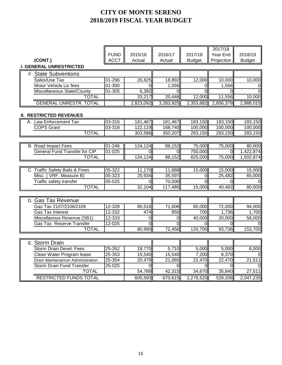|                                      |             |                |                |               | 2017/18      |                |
|--------------------------------------|-------------|----------------|----------------|---------------|--------------|----------------|
|                                      | <b>FUND</b> | 2015/16        | 2016/17        | 2017/18       | Year End     | 2018/19        |
| (CONT.)                              | <b>ACCT</b> | Actual         | Actual         | <b>Budget</b> | Projection   | <b>Budget</b>  |
| <b>I. GENERAL UNRESTRICTED</b>       |             |                |                |               |              |                |
| <b>F. State Subventions</b>          |             |                |                |               |              |                |
| Sales/Use Tax                        | 01-296      | 26,825         | 18,892         | 12,000        | 10,000       | 10,000         |
| Motor Vehicle Lic fees               | $01 - 300$  | $\Omega$       | 1,556          | $\mathbf 0$   | 1,556        | 0              |
| Miscellaneous State/County           | $01 - 305$  | 6,392          | ΩI             | $\Omega$      | <sup>o</sup> | 0l             |
| <b>TOTAL</b>                         |             | 33,217         | 20,448         | 12,000        | 11,556       | 10,000         |
| <b>GENERAL UNRESTR. TOTAL</b>        |             | 2,823,092      | 3,283,925      | 2,353,682     | 2,856,379    | 2,988,015      |
|                                      |             |                |                |               |              |                |
| <b>II. RESTRICTED REVENUES</b>       |             |                |                |               |              |                |
| A. Law Enforcement Tax               | 03-316      | 181,467        | 181,467        | 183,150       | 183,150      | 183,150        |
| <b>COPS Grant</b>                    | 03-318      | 122,119        | 168,740        | 100.000       | 100.000      | 100,000        |
| <b>TOTAL</b>                         |             | 303,586        | 350,207        | 283,150       | 283,150      | 283,150        |
|                                      |             |                |                |               |              |                |
| <b>B. Road Impact Fees</b>           | 01-246      | 134,124        | 88,152         | 75,000        | 75,000       | 80,000         |
| <b>General Fund Transfer for CIP</b> | 01-025      | $\Omega$       | $\Omega$       | 750,000       | <sup>O</sup> | 1,422,874      |
| <b>TOTAL</b>                         |             | 134,124        | 88,152         | 825,000       | 75,000       | 1,502,874      |
|                                      |             |                |                |               |              |                |
| C. Traffic Safety Bails & Fines      | $05 - 322$  | 11,170         | 11,888         | 15,000        | 15,000       | 15,000         |
| Misc. (VRF, Measure B)               | 05-323      | 20,934         | 35,597         | 0             | 25,482       | 65,000         |
| Traffic safety transfer              | $05 - 025$  | $\Omega$       | 70,000         | $\Omega$      | $\Omega$     |                |
| <b>TOTAL</b>                         |             | 32,104         | 117,485        | 15,000        | 40,482       | 80,000         |
|                                      |             |                |                |               |              |                |
| D. Gas Tax Revenue                   |             |                |                |               |              |                |
| Gas Tax 2107/2106/2105               | 12-328      | 80,516         | 71,606         | 80,000        | 72,000       | 94,000         |
| <b>Gas Tax Interest</b>              | 12-332      | 474            | 850            | 700           | 1,736        | 1,700          |
| Miscellanous Revenue (SB1)           | 12-333      | $\mathbf 0$    | 0              | 40,000        | 20,000       | 58,000         |
| Gas Tax Reserve Transfer             | 12-025      | $\overline{0}$ |                |               |              |                |
| <b>TOTAL</b>                         |             | 80,990         | 72,456         | 120,700       | 93,736       | 153,700        |
|                                      |             |                |                |               |              |                |
|                                      |             |                |                |               |              |                |
| E. Storm Drain                       |             |                |                |               |              |                |
| Storm Drain Devel. Fees              | 25-352      | 18,770         | 5,710          | 5,000         | 5,000        | 6,000          |
| Clean Water Program lease            | $25 - 353$  | 15,540         | 15,540         | 7,200         | 8,370        | O              |
| Drain Maintenance/ Administration    | $25 - 354$  | 20,479         | 21,065         | 22,470        | 22,470       | 21,511         |
| <b>Storm Drain Fund Transfer</b>     | 25-025      | $\Omega$       | $\overline{0}$ | $\Omega$      | <sup>0</sup> | $\overline{O}$ |
| <b>TOTAL</b>                         |             | 54,789         | 42,315         | 34,670        | 35,840       | 27,511         |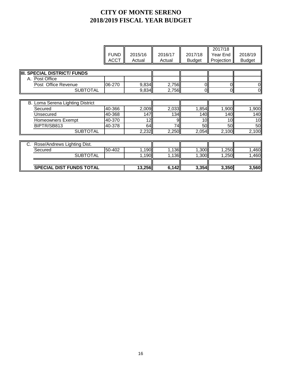|                                         | <b>FUND</b><br><b>ACCT</b> | 2015/16<br>Actual | 2016/17<br>Actual | 2017/18<br><b>Budget</b> | 2017/18<br>Year End<br>Projection | 2018/19<br><b>Budget</b> |
|-----------------------------------------|----------------------------|-------------------|-------------------|--------------------------|-----------------------------------|--------------------------|
| <b>SPECIAL DISTRICT/ FUNDS</b><br>IIII. |                            |                   |                   |                          |                                   |                          |
| A. Post Office                          |                            |                   |                   |                          |                                   |                          |
| Post Office Revenue                     | 06-270                     | 9,834             | 2,756             | 01                       | ΟI                                | 0                        |
| <b>SUBTOTAL</b>                         |                            | 9,834             | 2,756             | $\overline{0}$           | $\overline{0}$                    | $\overline{0}$           |
|                                         |                            |                   |                   |                          |                                   |                          |
| B. Loma Serena Lighting District        |                            |                   |                   |                          |                                   |                          |
| Secured                                 | 40-366                     | 2,009             | 2,033             | 1,854                    | 1,900                             | 1,900                    |
| Unsecured                               | 40-368                     | 147               | 134               | 140                      | 140                               | 140                      |
| <b>Homeowners Exempt</b>                | 40-370                     | 12                | 9.                | 10                       | 10 <sup>1</sup>                   | 10                       |
| BIPTR/SB813                             | 40-378                     | 64                | 74                | 50                       | 50                                | 50                       |
| <b>SUBTOTAL</b>                         |                            | 2,232             | 2,250             | 2,054                    | 2,100                             | 2,100                    |
|                                         |                            |                   |                   |                          |                                   |                          |
| Rose/Andrews Lighting Dist.<br>C.       |                            |                   |                   |                          |                                   |                          |
| Secured                                 | 50-402                     | 1,190             | 1,136             | 1,300                    | 1,250                             | 1,460                    |
| <b>SUBTOTAL</b>                         |                            | 1,190             | 1,136             | 1,300                    | 1,250                             | 1,460                    |
|                                         |                            |                   |                   |                          |                                   |                          |
| <b>SPECIAL DIST FUNDS TOTAL</b>         |                            | 13,256            | 6,142             | 3,354                    | 3,350                             | 3,560                    |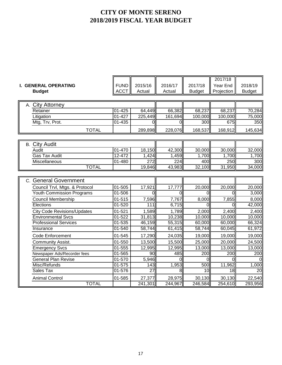|                                      |             |                |          |               | 2017/18    |               |
|--------------------------------------|-------------|----------------|----------|---------------|------------|---------------|
| <b>I. GENERAL OPERATING</b>          | <b>FUND</b> | 2015/16        | 2016/17  | 2017/18       | Year End   | 2018/19       |
| <b>Budget</b>                        | <b>ACCT</b> | Actual         | Actual   | <b>Budget</b> | Projection | <b>Budget</b> |
|                                      |             |                |          |               |            |               |
| <b>City Attorney</b><br>А.           |             |                |          |               |            |               |
| Retainer                             | $01 - 425$  | 64,449         | 66,382   | 68,237        | 68,237     | 70,284        |
| Litigation                           | $01 - 427$  | 225,449        | 161,694  | 100,000       | 100,000    | 75,000        |
| Mtg, Trv, Prot.                      | $01 - 435$  | $\overline{0}$ | $\Omega$ | 300           | 675        | 350           |
| <b>TOTAL</b>                         |             | 289,898        | 228,076  | 168,537       | 168,912    | 145,634       |
|                                      |             |                |          |               |            |               |
| <b>B.</b> City Audit                 |             |                |          |               |            |               |
| Audit                                | 01-470      | 18,150         | 42,300   | 30,000        | 30,000     | 32,000        |
| <b>Gas Tax Audit</b>                 | $12 - 472$  | 1,424          | 1,459    | 1,700         | 1,700      | 1,700         |
| Miscellaneous                        | 01-480      | 272            | 224      | 400           | 250        | 300           |
| <b>TOTAL</b>                         |             | 19,846         | 43,983   | 32,100        | 31,950     | 34,000        |
|                                      |             |                |          |               |            |               |
| <b>General Government</b><br>$C_{1}$ |             |                |          |               |            |               |
| Council Trvl, Mtgs. & Protocol       | 01-505      | 17,921         | 17,777   | 20,000        | 20,000     | 20,000        |
| <b>Youth Commission Programs</b>     | 01-506      | $\Omega$       | $\Omega$ | $\Omega$      | ΩI         | 3,000         |
| Council Membership                   | 01-515      | 7,596          | 7,767    | 8,000         | 7,855      | 8,000         |
| Elections                            | $01 - 520$  | 111            | 6,715    | ΩI            | ΩI         | 42,000        |
| <b>City Code Revisions/Updates</b>   | 01-521      | 1,589          | 1,789    | 2,000         | 2,400      | 2,400         |
| <b>Environmental Sycs</b>            | $01 - 522$  | 31,813         | 10,238   | 10,000        | 10,000     | 10,000        |
| <b>Professional Services</b>         | $01 - 535$  | 46,159         | 55,315   | 60,000        | 60,000     | 66,324        |
| Insurance                            | 01-540      | 58,744         | 61,415   | 58,744        | 60,045     | 61,972        |
| <b>Code Enforcement</b>              | 01-545      | 17,290         | 24,035   | 19,000        | 19,000     | 19,000        |
| <b>Community Assist.</b>             | 01-550      | 13,500         | 15,500   | 25,000        | 20,000     | 24,500        |
| <b>Emergency Svcs</b>                | $01 - 555$  | 12,995         | 12,995   | 13,000        | 13,000     | 13,000        |
| Newspaper Ads/Recorder fees          | 01-565      | 90             | 485      | 200           | 200        | 200           |
| General Plan Revise                  | 01-570      | 5,946          | $\Omega$ | $\Omega$      | 0l         |               |
| Misc/Refunds                         | 01-575      | 143            | 1,953    | 500           | 11,962     | 1,000         |
| Sales Tax                            | $01 - 576$  | 27             | 8        | 10            | 18         | 20            |
| <b>Animal Control</b>                | 01-585      | 27,377         | 28,975   | 30,130        | 30,130     | 22,540        |
| <b>TOTAL</b>                         |             | 241,301        | 244,967  | 246,584       | 254,610    | 293,956       |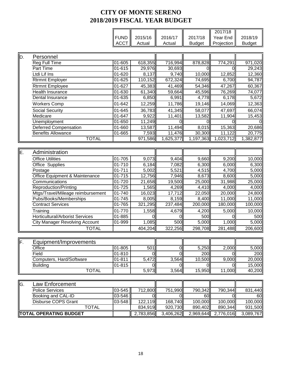|     |                                        |             |                |           |                    | 2017/18    |               |
|-----|----------------------------------------|-------------|----------------|-----------|--------------------|------------|---------------|
|     |                                        | <b>FUND</b> | 2015/16        | 2016/17   | 2017/18            | Year End   | 2018/19       |
|     |                                        | <b>ACCT</b> | Actual         | Actual    | <b>Budget</b>      | Projection | <b>Budget</b> |
|     |                                        |             |                |           |                    |            |               |
| ID. | Personnel                              |             |                |           |                    |            |               |
|     | Reg Full Time                          | 01-605      | 618,355        | 716,994   | 878,828            | 774,291    | 971,020       |
|     | <b>Part Time</b>                       | $01 - 615$  | 29,976         | 30,693    | $\Omega$           | Ω          | 29,243        |
|     | Ltdi Lif Ins                           | 01-620      | 8,137          | 9,740     | 10,000             | 12,852     | 12,360        |
|     | Rtrmnt Employer                        | 01-625      | 110,152        | 672,324   | 74,695             | 6,700      | 94,787        |
|     | <b>Rtrmnt Employee</b>                 | 01-627      | 45,383         | 41,469    | 54,346             | 47,267     | 60,367        |
|     | <b>Health Insurance</b>                | 01-630      | 61,340         | 59,664    | 45,596             | 76,269     | 74,077        |
|     | Dental Insurance                       | $01 - 635$  | 6,850          | 6,991     | 4,778              | 6,178      | 5,672         |
|     |                                        |             |                |           |                    |            |               |
|     | <b>Workers Comp</b>                    | 01-642      | 12,259         | 11,786    | 19,146             | 14,069     | 12,363        |
|     | <b>Social Security</b>                 | 01-645      | 36,783         | 41,345    | 58,077             | 47,697     | 66,074        |
|     | Medicare                               | 01-647      | 9,922          | 11,401    | 13,582             | 11,904     | 15,453        |
|     | Unemployment                           | 01-650      | 11,249         | ∩         |                    | U          |               |
|     | <b>Deferred Compensation</b>           | 01-660      | 13,587         | 11,494    | 8,015              | 15,363     | 20,686        |
|     | <b>Benefits Allowance</b>              | 01-665      | 7,593          | 11,476    | 30,300             | 11,122     | 20,775        |
|     | <b>TOTAL</b>                           |             | 971,586        | 1,625,377 | 1,197,363          | 1,023,712  | 1,382,877     |
|     |                                        |             |                |           |                    |            |               |
| IЕ. | Administration                         |             |                |           |                    |            |               |
|     | <b>Office Utilities</b>                | 01-705      | 9,073          | 9,404     | 9,660              | 9,200      | 10,000        |
|     | Office Supplies                        | 01-710      | 6,184          | 7,082     | 6,300              | 6,000      | 6,300         |
|     | Postage                                | 01-711      | 5,002          | 5,521     | 4,515              | 4,700      | 5,000         |
|     | Office Equipment & Maintenance         | 01-715      | 12,756         | 7,946     | 8,673              | 8,600      | 5,000         |
|     | Communications                         | 01-720      | 21,658         | 19,500    | 25,000             | 31,988     | 25,000        |
|     | Reproduction/Printing                  | 01-725      | 1,565          | 4,269     | 4,410              | 4,000      | 4,000         |
|     | Mtgs/Travel/Mileage reimbursement      | $01 - 740$  | 16,023         | 17,712    | 22,050             | 20,000     | 24,800        |
|     | Pubs/Books/Memberships                 | 01-745      | 8,005          | 8,159     | $\overline{8,}400$ | 11,000     | 11,000        |
|     | <b>Contract Services</b>               | 01-765      | 321,295        | 237,484   | 200,000            | 180,000    | 100,000       |
|     | Training                               | 01-770      | 1,558          | 4,679     | 4,200              | 5,000      | 10,000        |
|     | <b>Horticultural/Arborist Services</b> | 01-885      | 0              | O         | 500                | 0          | 500           |
|     | <b>City Manager Revolving Account</b>  | 01-999      | 1,085          | 500       | 5,000              | 1,000      | 5,000         |
|     | <b>TOTAL</b>                           |             | 404,204        | 322,256   | 298,708            | 281,488    | 206,600       |
|     |                                        |             |                |           |                    |            |               |
| ∥F. | Equipment/Improvements                 |             |                |           |                    |            |               |
|     | Office                                 | $01 - 805$  | 501            | 0         | 5,250              | 2,000      | 5,000         |
|     | Field                                  | 01-810      | $\overline{0}$ | 0         | 200                | 0          | 200           |
|     | Computers, Hard/Software               | $01 - 811$  | 5,472          | 3,564     | 10,500             | 9,000      | 20,000        |
|     | <b>Building</b>                        | 01-815      | $\Omega$       | O         |                    | Ω          | 15,000        |
|     | <b>TOTAL</b>                           |             | 5,973          | 3,564     | 15,950             | 11,000     | 40,200        |
|     |                                        |             |                |           |                    |            |               |
| IG. | Law Enforcement                        |             |                |           |                    |            |               |
|     | <b>Police Services</b>                 | 03-545      | 712,800        | 751,990   | 790,342            | 790,344    | 831,440       |
|     | Booking and CAL-ID                     | 03-546      | $\Omega$       | $\Omega$  | 60                 | 0          | 60            |
|     | Disburse COPS Grant                    | 03-548      | 122,119        | 168,740   | 100,000            | 100,000    | 100,000       |
|     | <b>TOTAL</b>                           |             | 834,919        | 920,730   | 890,402            | 890,344    | 931,500       |
|     | <b>TOTAL OPERATING BUDGET</b>          |             | 2,783,856      | 3,406,262 | 2,969,644          | 2,776,016  | 3,089,767     |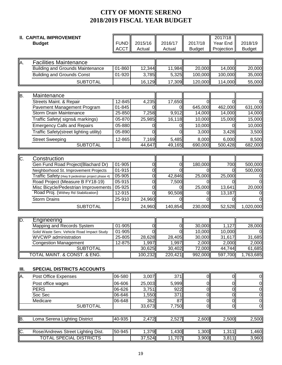|      | <b>II. CAPITAL IMPROVEMENT</b>                    |             |          |                |                                  | 2017/18                          |                                  |
|------|---------------------------------------------------|-------------|----------|----------------|----------------------------------|----------------------------------|----------------------------------|
|      | <b>Budget</b>                                     | <b>FUND</b> | 2015/16  | 2016/17        | 2017/18                          | Year End                         | 2018/19                          |
|      |                                                   | <b>ACCT</b> | Actual   | Actual         | <b>Budget</b>                    | Projection                       | <b>Budget</b>                    |
|      |                                                   |             |          |                |                                  |                                  |                                  |
| A.   | <b>Facilities Maintenance</b>                     |             |          |                |                                  |                                  |                                  |
|      | <b>Building and Grounds Maintenance</b>           | $01 - 860$  | 12,344   | 11,984         | 20,000                           | 14,000                           | 20,000                           |
|      | <b>Building and Grounds Const</b>                 | 01-920      | 3,785    | 5,325          | 100,000                          | 100,000                          | 35,000                           |
|      | <b>SUBTOTAL</b>                                   |             | 16,129   | 17,309         | 120,000                          | 114,000                          | 55,000                           |
|      |                                                   |             |          |                |                                  |                                  |                                  |
| lB.  | Maintenance                                       |             |          |                |                                  |                                  |                                  |
|      | Streets Maint. & Repair                           | 12-845      | 4,235    | 17,650         | $\Omega$                         | $\Omega$                         |                                  |
|      | Pavement Management Program                       | 01-845      | U        | ΩI             | 645,000                          | 462,000                          | 631,000                          |
|      | <b>Storm Drain Maintenance</b>                    | 25-850      | 7,258    | 9,912          | 14,000                           | 14,000                           | 14,000                           |
|      | Traffic Safety( signs& markings)                  | 05-870      | 25,985   | 16,118         | 10,000                           | 15,000                           | 15,000                           |
|      | <b>Emergency Calls and Repairs</b>                | 05-880      | 0        | ΩI             | 10,000                           |                                  | 10,000                           |
|      | Traffic Safety(street lighting utility)           | 05-890      | $\Omega$ | ΩI             | 3,000                            | 3,428                            | 3,500                            |
|      |                                                   |             |          |                |                                  |                                  |                                  |
|      | <b>Street Sweeping</b>                            | 12-865      | 7,169    | 5,485          | 8,000                            | 6,000                            | 8,500                            |
|      | <b>SUBTOTAL</b>                                   |             | 44,647   | 49,165         | 690,000                          | 500,428                          | 682,000                          |
|      |                                                   |             |          |                |                                  |                                  |                                  |
| C.   | Construction                                      |             |          |                |                                  |                                  |                                  |
|      | Gen Fund Road Project(Blachard Dr)                | $01 - 905$  | 0        | 0l             | 180,000                          | 700                              | 500,000                          |
|      | Neighborhood St. Improvement Projects             | $01 - 915$  | 0        | 0l             |                                  | ი                                | 500,000                          |
|      | Traffic Safety (Hwy 9 pedestrian project phase 4) | 05-905      | 0        | 42,846         | 25,000                           | 25,000                           |                                  |
|      | Road Project (Measure B FY18-19)                  | 05-915      | 0        | 7,500          |                                  | ი                                |                                  |
|      | Misc Bicycle/Pedestrian Improvements              | 05-925      | 0        | ΩI             | 25,000                           | 13,641                           | 20,000                           |
|      | Road Proj. (Withey Rd Stabilization)              | 12-915      | O        | 90,508         |                                  | 13,187                           |                                  |
|      | <b>Storm Drains</b>                               | 25-910      | 24,960   | ΩI             |                                  |                                  |                                  |
|      | <b>SUBTOTAL</b>                                   |             | 24,960   | 140,854        | 230,000                          | 52,528                           | 1,020,000                        |
|      |                                                   |             |          |                |                                  |                                  |                                  |
| D.   | Engineering                                       |             |          |                |                                  |                                  |                                  |
|      | Mapping and Records System                        | 01-905      | 0        | 0l             | 30,000                           | 1,127                            | 28,000                           |
|      | Solid Waste Serv. Vehicle Road Impact Study       | 01-905      | $\Omega$ | $\overline{0}$ | 10,000                           | 10,000                           |                                  |
|      | <b>WVCWP</b> administration                       | 25-805      | 28,628   | 28,405         | 30,000                           | 31,617                           | 31,685                           |
|      | <b>Congestion Management</b>                      | 12-875      | 1,997    | 1,997          | 2,000                            | 2,000                            | 2,000                            |
|      | <b>SUBTOTAL</b>                                   |             | 30,625   | 30,402         | 72,000                           | 44,744                           | 61,685                           |
|      | <b>TOTAL MAINT. &amp; CONST. &amp; ENG.</b>       |             | 100,232  | 220,421        | 992,000                          | 597,700                          | 1,763,685                        |
|      |                                                   |             |          |                |                                  |                                  |                                  |
| III. | <b>SPECIAL DISTRICTS ACCOUNTS</b>                 |             |          |                |                                  |                                  |                                  |
| A.   | Post Office Expenses                              | 06-580      | 3,007    | 371            | $\overline{0}$                   | $\overline{0}$                   | $\overline{O}$                   |
|      |                                                   |             |          |                |                                  |                                  |                                  |
|      | Post office wages                                 | 06-606      | 25,003   | 5,999          | $\mathsf{O}\xspace$              | $\overline{0}$                   | $\overline{0}$                   |
|      | <b>PERS</b>                                       | 06-626      | 3,751    | 922            | $\overline{0}$                   | $\overline{0}$                   | $\overline{0}$                   |
|      | Soc Sec                                           | 06-646      | 1,550    | 371            | $\overline{0}$                   | $\overline{0}$                   | $\overline{0}$                   |
|      | Medicare                                          | 06-648      | 362      | 87             | $\overline{0}$<br>$\overline{0}$ | $\overline{0}$<br>$\overline{0}$ | $\overline{0}$<br>$\overline{0}$ |
|      | <b>SUBTOTAL</b>                                   |             | 33,673   | 7,750          |                                  |                                  |                                  |
|      |                                                   |             |          |                |                                  |                                  |                                  |
| ĮВ.  | Loma Serena Lighting District                     | 40-935      | 2,472    | 2,527          | 2,600                            | 2,500                            | 2,500                            |
|      |                                                   |             |          |                |                                  |                                  |                                  |
| C.   | Rose/Andrews Street Lighting Dist.                | 50-945      | 1,379    | 1,430          | 1,300                            | 1,311                            | 1,460                            |
|      | <b>TOTAL SPECIAL DISTRICTS</b>                    |             | 37,524   | 11,707         | 3,900                            | 3,811                            | 3,960                            |
|      |                                                   |             |          |                |                                  |                                  |                                  |